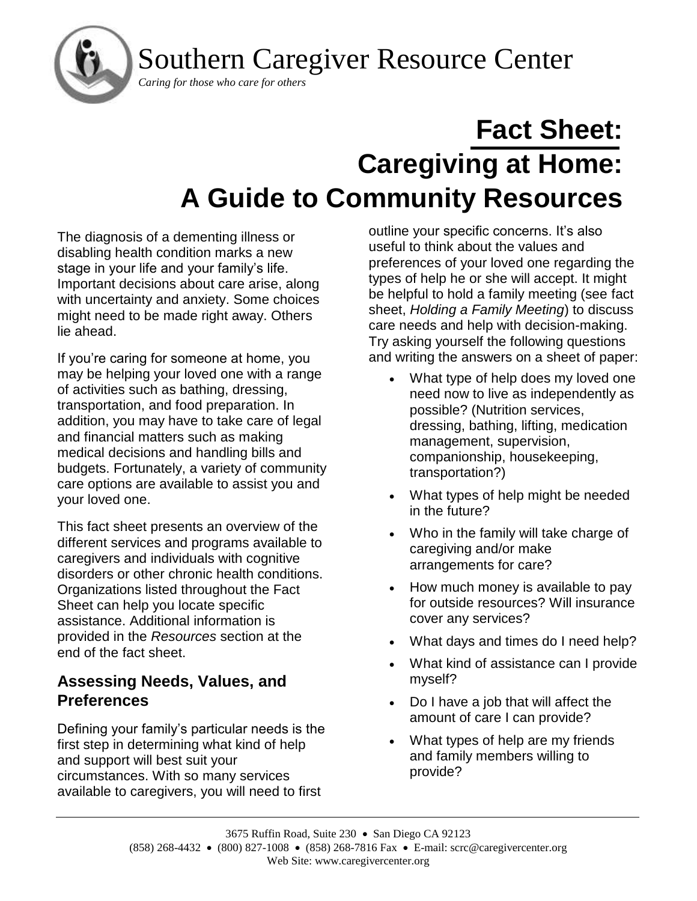Southern Caregiver Resource Center



# **Fact Sheet: Caregiving at Home: A Guide to Community Resources**

The diagnosis of a dementing illness or disabling health condition marks a new stage in your life and your family's life. Important decisions about care arise, along with uncertainty and anxiety. Some choices might need to be made right away. Others lie ahead.

If you're caring for someone at home, you may be helping your loved one with a range of activities such as bathing, dressing, transportation, and food preparation. In addition, you may have to take care of legal and financial matters such as making medical decisions and handling bills and budgets. Fortunately, a variety of community care options are available to assist you and your loved one.

This fact sheet presents an overview of the different services and programs available to caregivers and individuals with cognitive disorders or other chronic health conditions. Organizations listed throughout the Fact Sheet can help you locate specific assistance. Additional information is provided in the *Resources* section at the end of the fact sheet.

# **Assessing Needs, Values, and Preferences**

Defining your family's particular needs is the first step in determining what kind of help and support will best suit your circumstances. With so many services available to caregivers, you will need to first

outline your specific concerns. It's also useful to think about the values and preferences of your loved one regarding the types of help he or she will accept. It might be helpful to hold a family meeting (see fact sheet, *Holding a Family Meeting*) to discuss care needs and help with decision-making. Try asking yourself the following questions and writing the answers on a sheet of paper:

- What type of help does my loved one need now to live as independently as possible? (Nutrition services, dressing, bathing, lifting, medication management, supervision, companionship, housekeeping, transportation?)
- What types of help might be needed in the future?
- Who in the family will take charge of caregiving and/or make arrangements for care?
- How much money is available to pay for outside resources? Will insurance cover any services?
- What days and times do I need help?
- What kind of assistance can I provide myself?
- Do I have a job that will affect the amount of care I can provide?
- What types of help are my friends and family members willing to provide?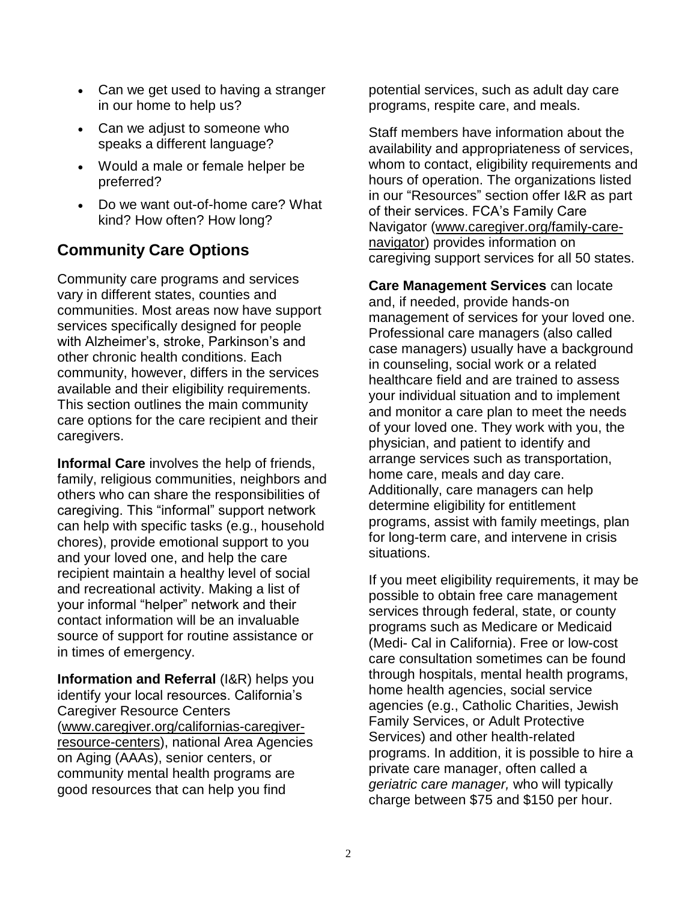- Can we get used to having a stranger in our home to help us?
- Can we adjust to someone who speaks a different language?
- Would a male or female helper be preferred?
- Do we want out-of-home care? What kind? How often? How long?

# **Community Care Options**

Community care programs and services vary in different states, counties and communities. Most areas now have support services specifically designed for people with Alzheimer's, stroke, Parkinson's and other chronic health conditions. Each community, however, differs in the services available and their eligibility requirements. This section outlines the main community care options for the care recipient and their caregivers.

**Informal Care** involves the help of friends, family, religious communities, neighbors and others who can share the responsibilities of caregiving. This "informal" support network can help with specific tasks (e.g., household chores), provide emotional support to you and your loved one, and help the care recipient maintain a healthy level of social and recreational activity. Making a list of your informal "helper" network and their contact information will be an invaluable source of support for routine assistance or in times of emergency.

**Information and Referral** (I&R) helps you identify your local resources. California's Caregiver Resource Centers [\(www.caregiver.org/californias-caregiver](http://www.caregiver.org/californias-caregiver-resource-centers)[resource-centers\)](http://www.caregiver.org/californias-caregiver-resource-centers), national Area Agencies on Aging (AAAs), senior centers, or community mental health programs are good resources that can help you find

potential services, such as adult day care programs, respite care, and meals.

Staff members have information about the availability and appropriateness of services, whom to contact, eligibility requirements and hours of operation. The organizations listed in our "Resources" section offer I&R as part of their services. FCA's Family Care Navigator [\(www.caregiver.org/family-care](http://www.caregiver.org/family-care-navigator)[navigator\)](http://www.caregiver.org/family-care-navigator) provides information on caregiving support services for all 50 states.

**Care Management Services** can locate and, if needed, provide hands-on management of services for your loved one. Professional care managers (also called case managers) usually have a background in counseling, social work or a related healthcare field and are trained to assess your individual situation and to implement and monitor a care plan to meet the needs of your loved one. They work with you, the physician, and patient to identify and arrange services such as transportation, home care, meals and day care. Additionally, care managers can help determine eligibility for entitlement programs, assist with family meetings, plan for long-term care, and intervene in crisis situations.

If you meet eligibility requirements, it may be possible to obtain free care management services through federal, state, or county programs such as Medicare or Medicaid (Medi- Cal in California). Free or low-cost care consultation sometimes can be found through hospitals, mental health programs, home health agencies, social service agencies (e.g., Catholic Charities, Jewish Family Services, or Adult Protective Services) and other health-related programs. In addition, it is possible to hire a private care manager, often called a *geriatric care manager,* who will typically charge between \$75 and \$150 per hour.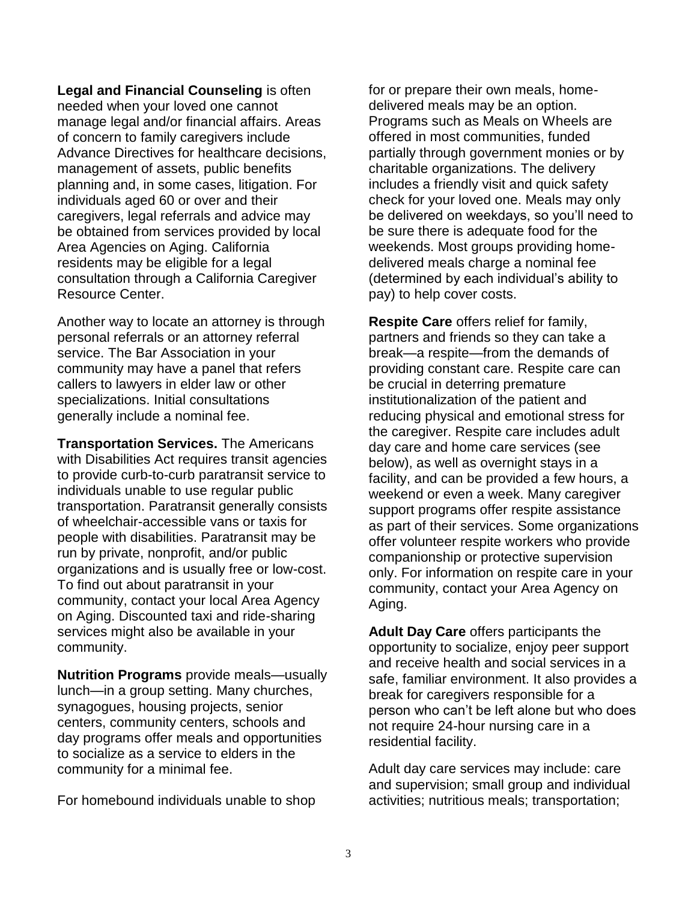**Legal and Financial Counseling** is often needed when your loved one cannot manage legal and/or financial affairs. Areas of concern to family caregivers include Advance Directives for healthcare decisions, management of assets, public benefits planning and, in some cases, litigation. For individuals aged 60 or over and their caregivers, legal referrals and advice may be obtained from services provided by local Area Agencies on Aging. California residents may be eligible for a legal consultation through a California Caregiver Resource Center.

Another way to locate an attorney is through personal referrals or an attorney referral service. The Bar Association in your community may have a panel that refers callers to lawyers in elder law or other specializations. Initial consultations generally include a nominal fee.

**Transportation Services.** The Americans with Disabilities Act requires transit agencies to provide curb-to-curb paratransit service to individuals unable to use regular public transportation. Paratransit generally consists of wheelchair-accessible vans or taxis for people with disabilities. Paratransit may be run by private, nonprofit, and/or public organizations and is usually free or low-cost. To find out about paratransit in your community, contact your local Area Agency on Aging. Discounted taxi and ride-sharing services might also be available in your community.

**Nutrition Programs** provide meals—usually lunch—in a group setting. Many churches, synagogues, housing projects, senior centers, community centers, schools and day programs offer meals and opportunities to socialize as a service to elders in the community for a minimal fee.

For homebound individuals unable to shop

for or prepare their own meals, homedelivered meals may be an option. Programs such as Meals on Wheels are offered in most communities, funded partially through government monies or by charitable organizations. The delivery includes a friendly visit and quick safety check for your loved one. Meals may only be delivered on weekdays, so you'll need to be sure there is adequate food for the weekends. Most groups providing homedelivered meals charge a nominal fee (determined by each individual's ability to pay) to help cover costs.

**Respite Care** offers relief for family, partners and friends so they can take a break—a respite—from the demands of providing constant care. Respite care can be crucial in deterring premature institutionalization of the patient and reducing physical and emotional stress for the caregiver. Respite care includes adult day care and home care services (see below), as well as overnight stays in a facility, and can be provided a few hours, a weekend or even a week. Many caregiver support programs offer respite assistance as part of their services. Some organizations offer volunteer respite workers who provide companionship or protective supervision only. For information on respite care in your community, contact your Area Agency on Aging.

**Adult Day Care** offers participants the opportunity to socialize, enjoy peer support and receive health and social services in a safe, familiar environment. It also provides a break for caregivers responsible for a person who can't be left alone but who does not require 24-hour nursing care in a residential facility.

Adult day care services may include: care and supervision; small group and individual activities; nutritious meals; transportation;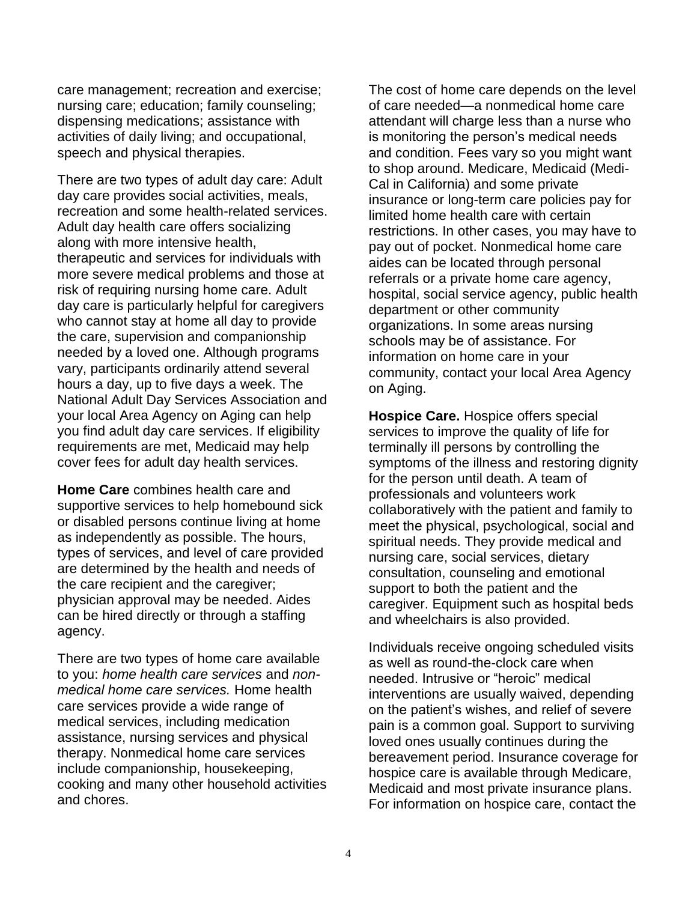care management; recreation and exercise; nursing care; education; family counseling; dispensing medications; assistance with activities of daily living; and occupational, speech and physical therapies.

There are two types of adult day care: Adult day care provides social activities, meals, recreation and some health-related services. Adult day health care offers socializing along with more intensive health, therapeutic and services for individuals with more severe medical problems and those at risk of requiring nursing home care. Adult day care is particularly helpful for caregivers who cannot stay at home all day to provide the care, supervision and companionship needed by a loved one. Although programs vary, participants ordinarily attend several hours a day, up to five days a week. The National Adult Day Services Association and your local Area Agency on Aging can help you find adult day care services. If eligibility requirements are met, Medicaid may help cover fees for adult day health services.

**Home Care** combines health care and supportive services to help homebound sick or disabled persons continue living at home as independently as possible. The hours, types of services, and level of care provided are determined by the health and needs of the care recipient and the caregiver; physician approval may be needed. Aides can be hired directly or through a staffing agency.

There are two types of home care available to you: *home health care services* and *nonmedical home care services.* Home health care services provide a wide range of medical services, including medication assistance, nursing services and physical therapy. Nonmedical home care services include companionship, housekeeping, cooking and many other household activities and chores.

The cost of home care depends on the level of care needed—a nonmedical home care attendant will charge less than a nurse who is monitoring the person's medical needs and condition. Fees vary so you might want to shop around. Medicare, Medicaid (Medi-Cal in California) and some private insurance or long-term care policies pay for limited home health care with certain restrictions. In other cases, you may have to pay out of pocket. Nonmedical home care aides can be located through personal referrals or a private home care agency, hospital, social service agency, public health department or other community organizations. In some areas nursing schools may be of assistance. For information on home care in your community, contact your local Area Agency on Aging.

**Hospice Care.** Hospice offers special services to improve the quality of life for terminally ill persons by controlling the symptoms of the illness and restoring dignity for the person until death. A team of professionals and volunteers work collaboratively with the patient and family to meet the physical, psychological, social and spiritual needs. They provide medical and nursing care, social services, dietary consultation, counseling and emotional support to both the patient and the caregiver. Equipment such as hospital beds and wheelchairs is also provided.

Individuals receive ongoing scheduled visits as well as round-the-clock care when needed. Intrusive or "heroic" medical interventions are usually waived, depending on the patient's wishes, and relief of severe pain is a common goal. Support to surviving loved ones usually continues during the bereavement period. Insurance coverage for hospice care is available through Medicare, Medicaid and most private insurance plans. For information on hospice care, contact the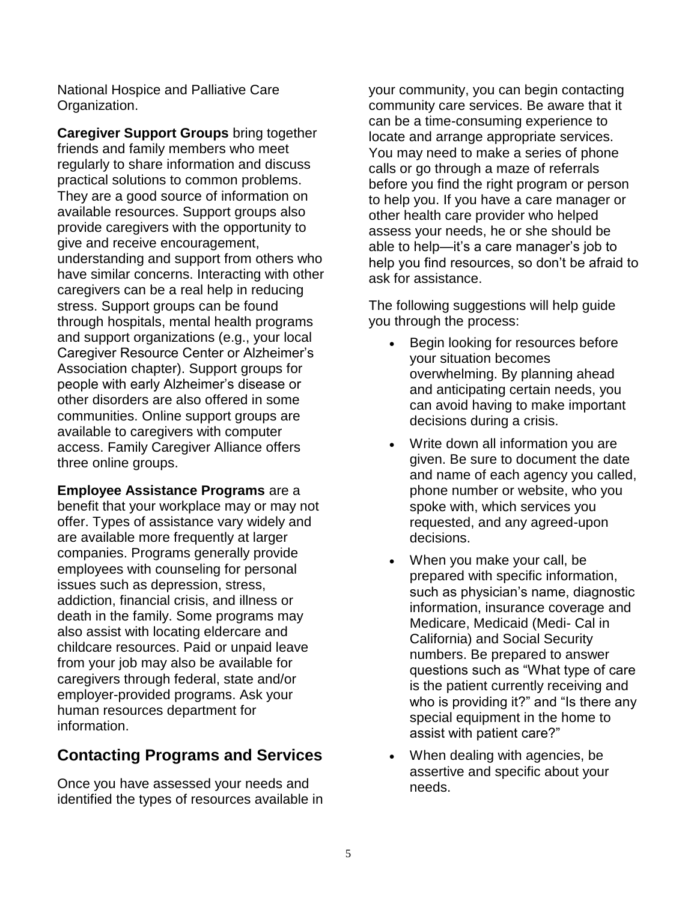National Hospice and Palliative Care Organization.

**Caregiver Support Groups** bring together friends and family members who meet regularly to share information and discuss practical solutions to common problems. They are a good source of information on available resources. Support groups also provide caregivers with the opportunity to give and receive encouragement, understanding and support from others who have similar concerns. Interacting with other caregivers can be a real help in reducing stress. Support groups can be found through hospitals, mental health programs and support organizations (e.g., your local Caregiver Resource Center or Alzheimer's Association chapter). Support groups for people with early Alzheimer's disease or other disorders are also offered in some communities. Online support groups are available to caregivers with computer access. Family Caregiver Alliance offers three online groups.

**Employee Assistance Programs** are a benefit that your workplace may or may not offer. Types of assistance vary widely and are available more frequently at larger companies. Programs generally provide employees with counseling for personal issues such as depression, stress, addiction, financial crisis, and illness or death in the family. Some programs may also assist with locating eldercare and childcare resources. Paid or unpaid leave from your job may also be available for caregivers through federal, state and/or employer-provided programs. Ask your human resources department for information.

# **Contacting Programs and Services**

Once you have assessed your needs and identified the types of resources available in your community, you can begin contacting community care services. Be aware that it can be a time-consuming experience to locate and arrange appropriate services. You may need to make a series of phone calls or go through a maze of referrals before you find the right program or person to help you. If you have a care manager or other health care provider who helped assess your needs, he or she should be able to help—it's a care manager's job to help you find resources, so don't be afraid to ask for assistance.

The following suggestions will help guide you through the process:

- Begin looking for resources before your situation becomes overwhelming. By planning ahead and anticipating certain needs, you can avoid having to make important decisions during a crisis.
- Write down all information you are given. Be sure to document the date and name of each agency you called, phone number or website, who you spoke with, which services you requested, and any agreed-upon decisions.
- When you make your call, be prepared with specific information, such as physician's name, diagnostic information, insurance coverage and Medicare, Medicaid (Medi- Cal in California) and Social Security numbers. Be prepared to answer questions such as "What type of care is the patient currently receiving and who is providing it?" and "Is there any special equipment in the home to assist with patient care?"
- When dealing with agencies, be assertive and specific about your needs.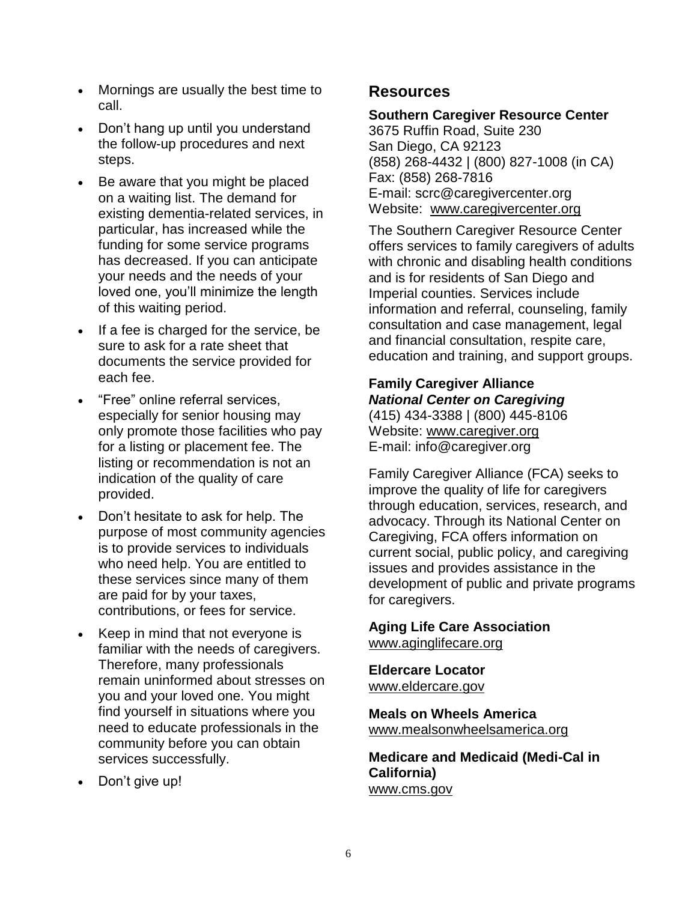- Mornings are usually the best time to call.
- Don't hang up until you understand the follow-up procedures and next steps.
- Be aware that you might be placed on a waiting list. The demand for existing dementia-related services, in particular, has increased while the funding for some service programs has decreased. If you can anticipate your needs and the needs of your loved one, you'll minimize the length of this waiting period.
- If a fee is charged for the service, be sure to ask for a rate sheet that documents the service provided for each fee.
- "Free" online referral services, especially for senior housing may only promote those facilities who pay for a listing or placement fee. The listing or recommendation is not an indication of the quality of care provided.
- Don't hesitate to ask for help. The purpose of most community agencies is to provide services to individuals who need help. You are entitled to these services since many of them are paid for by your taxes, contributions, or fees for service.
- Keep in mind that not everyone is familiar with the needs of caregivers. Therefore, many professionals remain uninformed about stresses on you and your loved one. You might find yourself in situations where you need to educate professionals in the community before you can obtain services successfully.
- Don't give up!

## **Resources**

#### **Southern Caregiver Resource Center**

3675 Ruffin Road, Suite 230 San Diego, CA 92123 (858) 268-4432 | (800) 827-1008 (in CA) Fax: (858) 268-7816 E-mail: scrc@caregivercenter.org Website: [www.caregivercenter.org](http://www.caregivercenter.org/)

The Southern Caregiver Resource Center offers services to family caregivers of adults with chronic and disabling health conditions and is for residents of San Diego and Imperial counties. Services include information and referral, counseling, family consultation and case management, legal and financial consultation, respite care, education and training, and support groups.

## **Family Caregiver Alliance** *National Center on Caregiving*

(415) 434-3388 | (800) 445-8106 Website: [www.caregiver.org](http://www.caregiver.org/) E-mail: info@caregiver.org

Family Caregiver Alliance (FCA) seeks to improve the quality of life for caregivers through education, services, research, and advocacy. Through its National Center on Caregiving, FCA offers information on current social, public policy, and caregiving issues and provides assistance in the development of public and private programs for caregivers.

#### **Aging Life Care Association** [www.aginglifecare.org](http://www.aginglifecare.org/)

**Eldercare Locator** [www.eldercare.gov](http://www.eldercare.gov/)

**Meals on Wheels America** [www.mealsonwheelsamerica.org](http://www.mealsonwheelsamerica.org/)

**Medicare and Medicaid (Medi-Cal in California)** [www.cms.gov](http://www.cms.gov/)